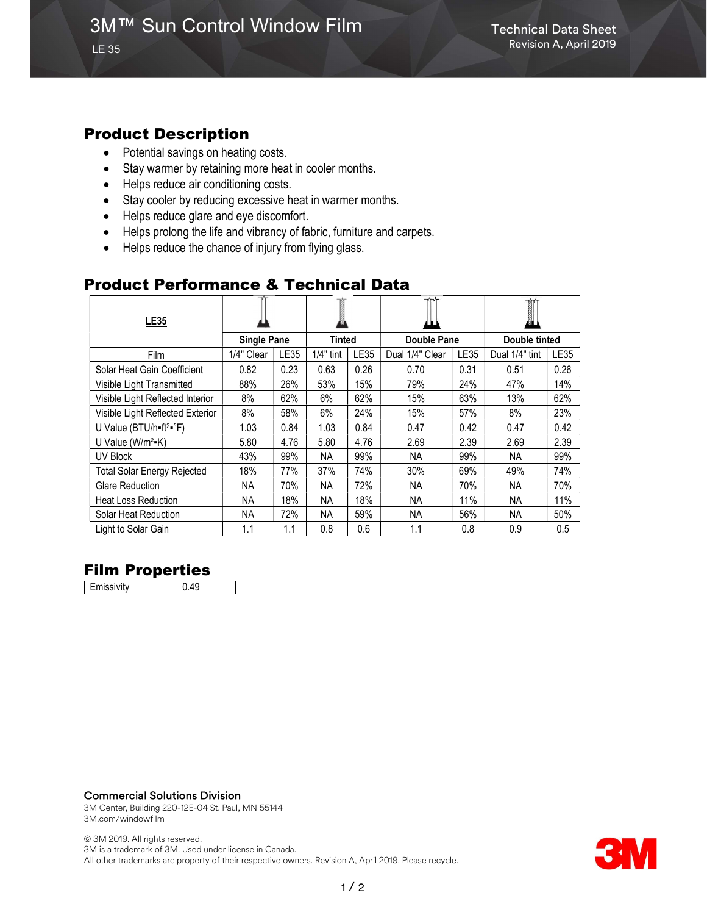## Product Description

LE 35

- Potential savings on heating costs.
- Stay warmer by retaining more heat in cooler months.
- Helps reduce air conditioning costs.
- Stay cooler by reducing excessive heat in warmer months.
- Helps reduce glare and eye discomfort.
- Helps prolong the life and vibrancy of fabric, furniture and carpets.
- Helps reduce the chance of injury from flying glass.

## Product Performance & Technical Data

| <b>LE35</b>                                   |                    |      |               |      |                    |      | T<br>Ø.        |             |
|-----------------------------------------------|--------------------|------|---------------|------|--------------------|------|----------------|-------------|
|                                               | <b>Single Pane</b> |      | <b>Tinted</b> |      | <b>Double Pane</b> |      | Double tinted  |             |
| Film                                          | 1/4" Clear         | LE35 | $1/4"$ tint   | LE35 | Dual 1/4" Clear    | LE35 | Dual 1/4" tint | <b>LE35</b> |
| Solar Heat Gain Coefficient                   | 0.82               | 0.23 | 0.63          | 0.26 | 0.70               | 0.31 | 0.51           | 0.26        |
| Visible Light Transmitted                     | 88%                | 26%  | 53%           | 15%  | 79%                | 24%  | 47%            | 14%         |
| Visible Light Reflected Interior              | 8%                 | 62%  | 6%            | 62%  | 15%                | 63%  | 13%            | 62%         |
| Visible Light Reflected Exterior              | 8%                 | 58%  | 6%            | 24%  | 15%                | 57%  | 8%             | 23%         |
| U Value (BTU/h=ft <sup>2</sup> = $\degree$ F) | 1.03               | 0.84 | 1.03          | 0.84 | 0.47               | 0.42 | 0.47           | 0.42        |
| U Value ( $W/m^2-K$ )                         | 5.80               | 4.76 | 5.80          | 4.76 | 2.69               | 2.39 | 2.69           | 2.39        |
| UV Block                                      | 43%                | 99%  | ΝA            | 99%  | NA.                | 99%  | NA.            | 99%         |
| <b>Total Solar Energy Rejected</b>            | 18%                | 77%  | 37%           | 74%  | 30%                | 69%  | 49%            | 74%         |
| <b>Glare Reduction</b>                        | NA.                | 70%  | ΝA            | 72%  | NA.                | 70%  | NA.            | 70%         |
| <b>Heat Loss Reduction</b>                    | NA.                | 18%  | NА            | 18%  | <b>NA</b>          | 11%  | <b>NA</b>      | 11%         |
| Solar Heat Reduction                          | NA.                | 72%  | ΝA            | 59%  | <b>NA</b>          | 56%  | <b>NA</b>      | 50%         |
| Light to Solar Gain                           | 1.1                | 1.1  | 0.8           | 0.6  | 1.1                | 0.8  | 0.9            | 0.5         |

## Film Properties

Emissivity 0.49

#### Commercial Solutions Division

3M Center, Building 220-12E-04 St. Paul, MN 55144 3M.com/windowfilm

© 3M 2019. All rights reserved. 3M is a trademark of 3M. Used under license in Canada. All other trademarks are property of their respective owners. Revision A, April 2019. Please recycle.